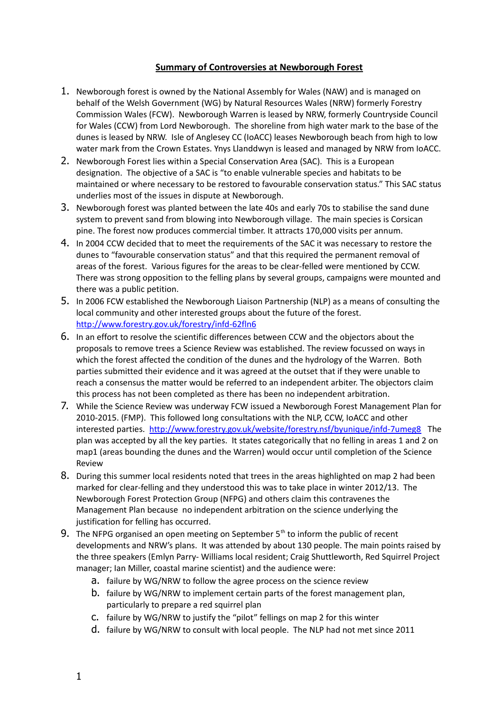## **Summary of Controversies at Newborough Forest**

- 1. Newborough forest is owned by the National Assembly for Wales (NAW) and is managed on behalf of the Welsh Government (WG) by Natural Resources Wales (NRW) formerly Forestry Commission Wales (FCW). Newborough Warren is leased by NRW, formerly Countryside Council for Wales (CCW) from Lord Newborough. The shoreline from high water mark to the base of the dunes is leased by NRW. Isle of Anglesey CC (IoACC) leases Newborough beach from high to low water mark from the Crown Estates. Ynys Llanddwyn is leased and managed by NRW from IoACC.
- 2. Newborough Forest lies within a Special Conservation Area (SAC). This is a European designation. The objective of a SAC is "to enable vulnerable species and habitats to be maintained or where necessary to be restored to favourable conservation status." This SAC status underlies most of the issues in dispute at Newborough.
- 3. Newborough forest was planted between the late 40s and early 70s to stabilise the sand dune system to prevent sand from blowing into Newborough village. The main species is Corsican pine. The forest now produces commercial timber. It attracts 170,000 visits per annum.
- 4. In 2004 CCW decided that to meet the requirements of the SAC it was necessary to restore the dunes to "favourable conservation status" and that this required the permanent removal of areas of the forest. Various figures for the areas to be clear-felled were mentioned by CCW. There was strong opposition to the felling plans by several groups, campaigns were mounted and there was a public petition.
- 5. In 2006 FCW established the Newborough Liaison Partnership (NLP) as a means of consulting the local community and other interested groups about the future of the forest. <http://www.forestry.gov.uk/forestry/infd-62fln6>
- 6. In an effort to resolve the scientific differences between CCW and the objectors about the proposals to remove trees a Science Review was established. The review focussed on ways in which the forest affected the condition of the dunes and the hydrology of the Warren. Both parties submitted their evidence and it was agreed at the outset that if they were unable to reach a consensus the matter would be referred to an independent arbiter. The objectors claim this process has not been completed as there has been no independent arbitration.
- 7. While the Science Review was underway FCW issued a Newborough Forest Management Plan for 2010-2015. (FMP). This followed long consultations with the NLP, CCW, IoACC and other interested parties. <http://www.forestry.gov.uk/website/forestry.nsf/byunique/infd-7umeg8>The plan was accepted by all the key parties. It states categorically that no felling in areas 1 and 2 on map1 (areas bounding the dunes and the Warren) would occur until completion of the Science Review
- 8. During this summer local residents noted that trees in the areas highlighted on map 2 had been marked for clear-felling and they understood this was to take place in winter 2012/13. The Newborough Forest Protection Group (NFPG) and others claim this contravenes the Management Plan because no independent arbitration on the science underlying the justification for felling has occurred.
- 9. The NFPG organised an open meeting on September  $5<sup>th</sup>$  to inform the public of recent developments and NRW's plans. It was attended by about 130 people. The main points raised by the three speakers (Emlyn Parry- Williams local resident; Craig Shuttleworth, Red Squirrel Project manager; Ian Miller, coastal marine scientist) and the audience were:
	- a. failure by WG/NRW to follow the agree process on the science review
	- b. failure by WG/NRW to implement certain parts of the forest management plan, particularly to prepare a red squirrel plan
	- c. failure by WG/NRW to justify the "pilot" fellings on map 2 for this winter
	- d. failure by WG/NRW to consult with local people. The NLP had not met since 2011